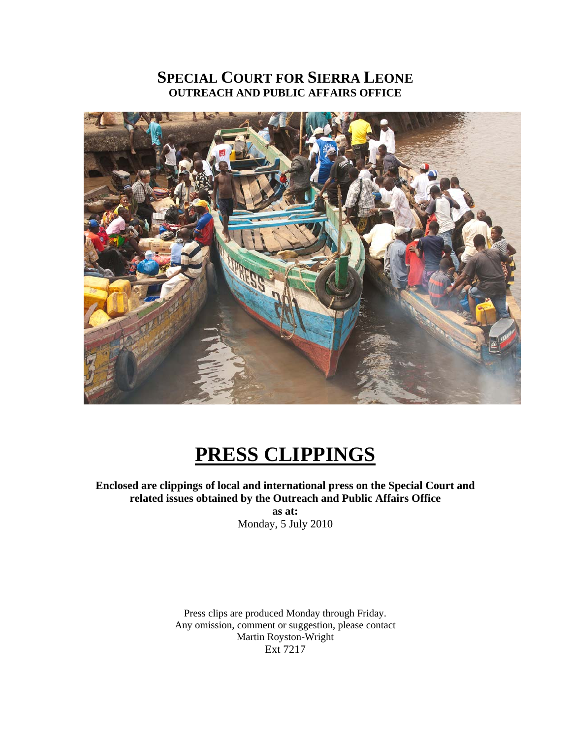# **SPECIAL COURT FOR SIERRA LEONE OUTREACH AND PUBLIC AFFAIRS OFFICE**



# **PRESS CLIPPINGS**

**Enclosed are clippings of local and international press on the Special Court and related issues obtained by the Outreach and Public Affairs Office** 

> **as at:**  Monday, 5 July 2010

Press clips are produced Monday through Friday. Any omission, comment or suggestion, please contact Martin Royston-Wright Ext 7217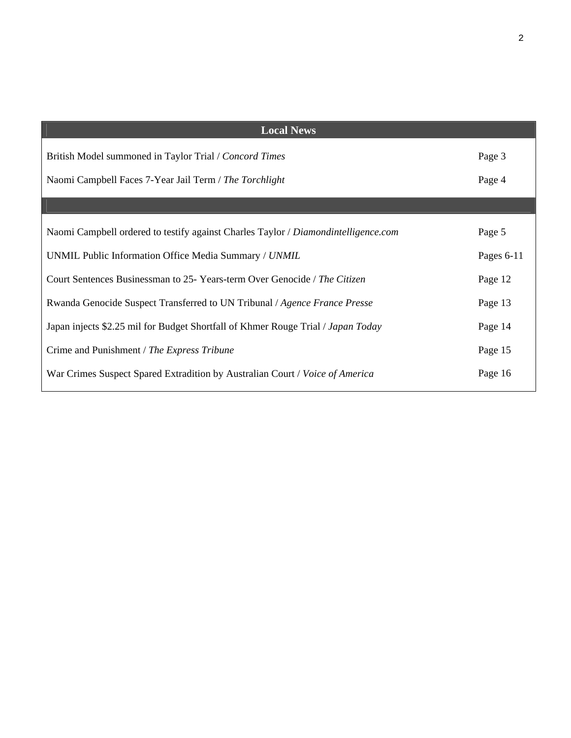| <b>Local News</b>                                                                  |            |
|------------------------------------------------------------------------------------|------------|
| British Model summoned in Taylor Trial / Concord Times                             | Page 3     |
| Naomi Campbell Faces 7-Year Jail Term / The Torchlight                             | Page 4     |
|                                                                                    |            |
| Naomi Campbell ordered to testify against Charles Taylor / Diamondintelligence.com | Page 5     |
| UNMIL Public Information Office Media Summary / UNMIL                              | Pages 6-11 |
| Court Sentences Businessman to 25- Years-term Over Genocide / The Citizen          | Page 12    |
| Rwanda Genocide Suspect Transferred to UN Tribunal / Agence France Presse          | Page 13    |
| Japan injects \$2.25 mil for Budget Shortfall of Khmer Rouge Trial / Japan Today   | Page 14    |
| Crime and Punishment / The Express Tribune                                         | Page 15    |
| War Crimes Suspect Spared Extradition by Australian Court / Voice of America       | Page 16    |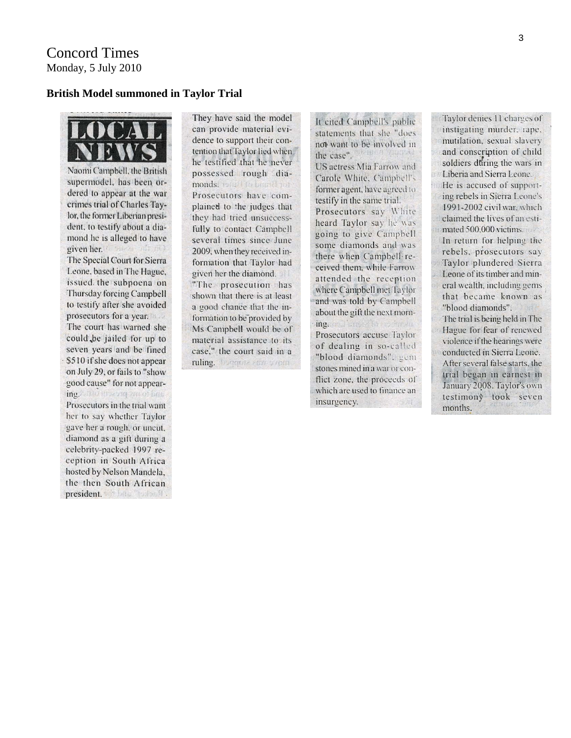#### **British Model summoned in Taylor Trial**

OCA EW

Naomi Campbell, the British supermodel, has been ordered to appear at the war crimes trial of Charles Taylor, the former Liberian president, to testify about a diamond he is alleged to have given her. The Special Court for Sierra Leone, based in The Hague, issued the subpoena on Thursday forcing Campbell to testify after she avoided prosecutors for a year. The court has warned she could be jailed for up to seven years and be fined \$510 if she does not appear on July 29, or fails to "show good cause" for not appearing. The macrique of fins Prosecutors in the trial want her to say whether Taylor gave her a rough, or uncut, diamond as a gift during a celebrity-packed 1997 reception in South Africa hosted by Nelson Mandela, the then South African president.

They have said the model can provide material evidence to support their contention that Taylor lied when he testified that he never possessed rough diamonds. Total I to bound you Prosecutors have complained to the judges that they had tried unsuccessfully to contact Campbell several times since June 2009, when they received information that Taylor had given her the diamond. "The prosecution has shown that there is at least a good chance that the information to be provided by Ms Campbell would be of material assistance to its case," the court said in a ruling. Dergeite eton ventu-

It cited Campbell's public statements that she "does" not want to be involved in the case". US actress Mia Farrow and Carole White, Campbell's former agent, have agreed to testify in the same trial. Prosecutors say White heard Taylor say he was going to give Campbell some diamonds and was there when Campbell received them, while Farrow attended the reception where Campbell met Taylor and was told by Campbell about the gift the next morning. as l'impressivamenta Prosecutors accuse Taylor of dealing in so-called "blood diamonds", gem stones mined in a war or conflict zone, the proceeds of which are used to finance an insurgency.

Taylor denies 11 charges of instigating murder, rape. mutilation, sexual slavery and conscription of child soldiers during the wars in Liberia and Sierra Leone He is accused of supporting rebels in Sierra Leone's 1991-2002 civil war, which claimed the lives of an estimated 500,000 victims. In return for helping the rebels, prosecutors say Taylor plundered Sierra Leone of its timber and mineral wealth, including gems that became known as "blood diamonds". The trial is being held in The Hague for fear of renewed violence if the hearings were conducted in Sierra Leone. After several false starts, the trial began in earnest in January 2008. Taylor's own testimony took seven months.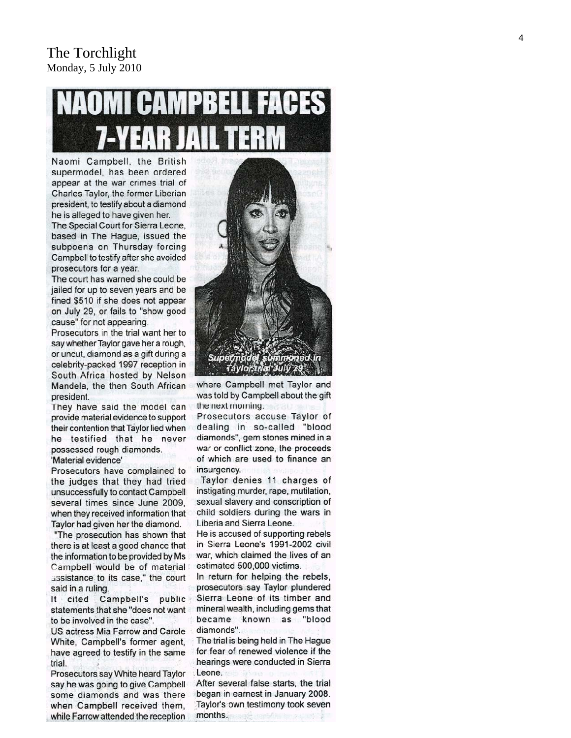# MPREI

Naomi Campbell, the British supermodel, has been ordered appear at the war crimes trial of Charles Taylor, the former Liberian president, to testify about a diamond he is alleged to have given her.

The Special Court for Sierra Leone, based in The Hague, issued the subpoena on Thursday forcing Campbell to testify after she avoided prosecutors for a year.

The court has warned she could be jailed for up to seven years and be fined \$510 if she does not appear on July 29, or fails to "show good cause" for not appearing.

Prosecutors in the trial want her to say whether Taylor gave her a rough, or uncut, diamond as a gift during a celebrity-packed 1997 reception in South Africa hosted by Nelson Mandela, the then South African president.

They have said the model can provide material evidence to support their contention that Taylor lied when he testified that he never possessed rough diamonds. 'Material evidence'

Prosecutors have complained to the judges that they had tried unsuccessfully to contact Campbell several times since June 2009, when they received information that Taylor had given her the diamond.

"The prosecution has shown that there is at least a good chance that the information to be provided by Ms Campbell would be of material assistance to its case," the court said in a ruling.

It cited Campbell's public statements that she "does not want to be involved in the case".

US actress Mia Farrow and Carole White, Campbell's former agent, have agreed to testify in the same trial.

Prosecutors say White heard Taylor say he was going to give Campbell some diamonds and was there when Campbell received them, while Farrow attended the reception



where Campbell met Taylor and was told by Campbell about the gift the next morning.

Prosecutors accuse Taylor of dealing in so-called "blood diamonds", gem stones mined in a war or conflict zone, the proceeds of which are used to finance an insurgency.

Taylor denies 11 charges of instigating murder, rape, mutilation, sexual slavery and conscription of child soldiers during the wars in Liberia and Sierra Leone.

He is accused of supporting rebels in Sierra Leone's 1991-2002 civil war, which claimed the lives of an estimated 500,000 victims.

In return for helping the rebels, prosecutors say Taylor plundered Sierra Leone of its timber and mineral wealth, including gems that became known as "blood diamonds".

The trial is being held in The Hague for fear of renewed violence if the hearings were conducted in Sierra Leone.

After several false starts, the trial began in earnest in January 2008. Taylor's own testimony took seven months.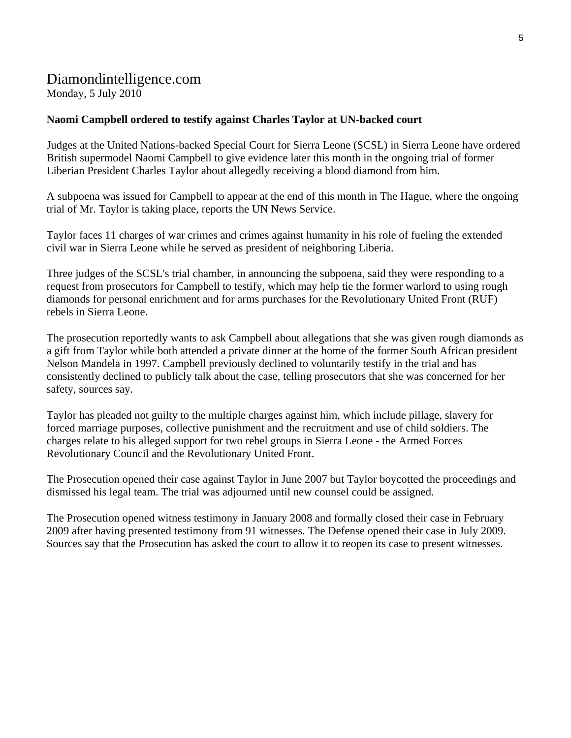# Diamondintelligence.com Monday, 5 July 2010

## **Naomi Campbell ordered to testify against Charles Taylor at UN-backed court**

Judges at the United Nations-backed Special Court for Sierra Leone (SCSL) in Sierra Leone have ordered British supermodel Naomi Campbell to give evidence later this month in the ongoing trial of former Liberian President Charles Taylor about allegedly receiving a blood diamond from him.

A subpoena was issued for Campbell to appear at the end of this month in The Hague, where the ongoing trial of Mr. Taylor is taking place, reports the UN News Service.

Taylor faces 11 charges of war crimes and crimes against humanity in his role of fueling the extended civil war in Sierra Leone while he served as president of neighboring Liberia.

Three judges of the SCSL's trial chamber, in announcing the subpoena, said they were responding to a request from prosecutors for Campbell to testify, which may help tie the former warlord to using rough diamonds for personal enrichment and for arms purchases for the Revolutionary United Front (RUF) rebels in Sierra Leone.

The prosecution reportedly wants to ask Campbell about allegations that she was given rough diamonds as a gift from Taylor while both attended a private dinner at the home of the former South African president Nelson Mandela in 1997. Campbell previously declined to voluntarily testify in the trial and has consistently declined to publicly talk about the case, telling prosecutors that she was concerned for her safety, sources say.

Taylor has pleaded not guilty to the multiple charges against him, which include pillage, slavery for forced marriage purposes, collective punishment and the recruitment and use of child soldiers. The charges relate to his alleged support for two rebel groups in Sierra Leone - the Armed Forces Revolutionary Council and the Revolutionary United Front.

The Prosecution opened their case against Taylor in June 2007 but Taylor boycotted the proceedings and dismissed his legal team. The trial was adjourned until new counsel could be assigned.

The Prosecution opened witness testimony in January 2008 and formally closed their case in February 2009 after having presented testimony from 91 witnesses. The Defense opened their case in July 2009. Sources say that the Prosecution has asked the court to allow it to reopen its case to present witnesses.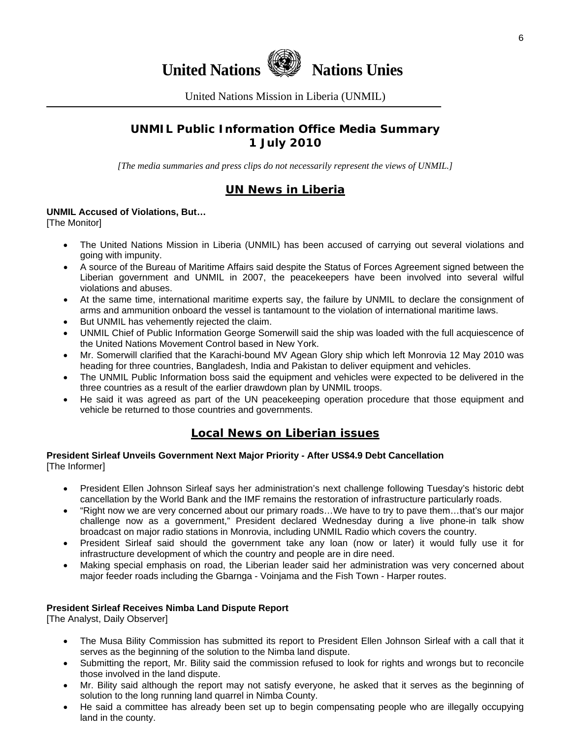

United Nations Mission in Liberia (UNMIL)

# **UNMIL Public Information Office Media Summary 1 July 2010**

*[The media summaries and press clips do not necessarily represent the views of UNMIL.]* 

# **UN News in Liberia**

#### **UNMIL Accused of Violations, But…**

**[The Monitor]** 

- The United Nations Mission in Liberia (UNMIL) has been accused of carrying out several violations and going with impunity.
- A source of the Bureau of Maritime Affairs said despite the Status of Forces Agreement signed between the Liberian government and UNMIL in 2007, the peacekeepers have been involved into several wilful violations and abuses.
- At the same time, international maritime experts say, the failure by UNMIL to declare the consignment of arms and ammunition onboard the vessel is tantamount to the violation of international maritime laws.
- But UNMIL has vehemently rejected the claim.
- UNMIL Chief of Public Information George Somerwill said the ship was loaded with the full acquiescence of the United Nations Movement Control based in New York.
- Mr. Somerwill clarified that the Karachi-bound MV Agean Glory ship which left Monrovia 12 May 2010 was heading for three countries, Bangladesh, India and Pakistan to deliver equipment and vehicles.
- The UNMIL Public Information boss said the equipment and vehicles were expected to be delivered in the three countries as a result of the earlier drawdown plan by UNMIL troops.
- He said it was agreed as part of the UN peacekeeping operation procedure that those equipment and vehicle be returned to those countries and governments.

# **Local News on Liberian issues**

#### **President Sirleaf Unveils Government Next Major Priority - After US\$4.9 Debt Cancellation**  [The Informer]

- President Ellen Johnson Sirleaf says her administration's next challenge following Tuesday's historic debt cancellation by the World Bank and the IMF remains the restoration of infrastructure particularly roads.
- "Right now we are very concerned about our primary roads…We have to try to pave them…that's our major challenge now as a government," President declared Wednesday during a live phone-in talk show broadcast on major radio stations in Monrovia, including UNMIL Radio which covers the country.
- President Sirleaf said should the government take any loan (now or later) it would fully use it for infrastructure development of which the country and people are in dire need.
- Making special emphasis on road, the Liberian leader said her administration was very concerned about major feeder roads including the Gbarnga - Voinjama and the Fish Town - Harper routes.

#### **President Sirleaf Receives Nimba Land Dispute Report**

[The Analyst, Daily Observer]

- The Musa Bility Commission has submitted its report to President Ellen Johnson Sirleaf with a call that it serves as the beginning of the solution to the Nimba land dispute.
- Submitting the report, Mr. Bility said the commission refused to look for rights and wrongs but to reconcile those involved in the land dispute.
- Mr. Bility said although the report may not satisfy everyone, he asked that it serves as the beginning of solution to the long running land quarrel in Nimba County.
- He said a committee has already been set up to begin compensating people who are illegally occupying land in the county.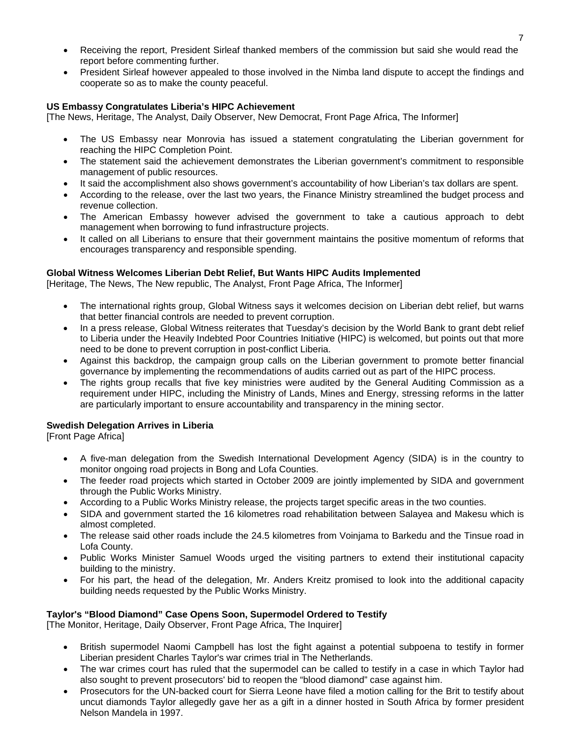- Receiving the report, President Sirleaf thanked members of the commission but said she would read the report before commenting further.
- President Sirleaf however appealed to those involved in the Nimba land dispute to accept the findings and cooperate so as to make the county peaceful.

#### **US Embassy Congratulates Liberia's HIPC Achievement**

[The News, Heritage, The Analyst, Daily Observer, New Democrat, Front Page Africa, The Informer]

- The US Embassy near Monrovia has issued a statement congratulating the Liberian government for reaching the HIPC Completion Point.
- The statement said the achievement demonstrates the Liberian government's commitment to responsible management of public resources.
- It said the accomplishment also shows government's accountability of how Liberian's tax dollars are spent.
- According to the release, over the last two years, the Finance Ministry streamlined the budget process and revenue collection.
- The American Embassy however advised the government to take a cautious approach to debt management when borrowing to fund infrastructure projects.
- It called on all Liberians to ensure that their government maintains the positive momentum of reforms that encourages transparency and responsible spending.

#### **Global Witness Welcomes Liberian Debt Relief, But Wants HIPC Audits Implemented**

[Heritage, The News, The New republic, The Analyst, Front Page Africa, The Informer]

- The international rights group, Global Witness says it welcomes decision on Liberian debt relief, but warns that better financial controls are needed to prevent corruption.
- In a press release, Global Witness reiterates that Tuesday's decision by the World Bank to grant debt relief to Liberia under the Heavily Indebted Poor Countries Initiative (HIPC) is welcomed, but points out that more need to be done to prevent corruption in post-conflict Liberia.
- Against this backdrop, the campaign group calls on the Liberian government to promote better financial governance by implementing the recommendations of audits carried out as part of the HIPC process.
- The rights group recalls that five key ministries were audited by the General Auditing Commission as a requirement under HIPC, including the Ministry of Lands, Mines and Energy, stressing reforms in the latter are particularly important to ensure accountability and transparency in the mining sector.

#### **Swedish Delegation Arrives in Liberia**

[Front Page Africa]

- A five-man delegation from the Swedish International Development Agency (SIDA) is in the country to monitor ongoing road projects in Bong and Lofa Counties.
- The feeder road projects which started in October 2009 are jointly implemented by SIDA and government through the Public Works Ministry.
- According to a Public Works Ministry release, the projects target specific areas in the two counties.
- SIDA and government started the 16 kilometres road rehabilitation between Salayea and Makesu which is almost completed.
- The release said other roads include the 24.5 kilometres from Voinjama to Barkedu and the Tinsue road in Lofa County.
- Public Works Minister Samuel Woods urged the visiting partners to extend their institutional capacity building to the ministry.
- For his part, the head of the delegation, Mr. Anders Kreitz promised to look into the additional capacity building needs requested by the Public Works Ministry.

#### **Taylor's "Blood Diamond" Case Opens Soon, Supermodel Ordered to Testify**

[The Monitor, Heritage, Daily Observer, Front Page Africa, The Inquirer]

- British supermodel Naomi Campbell has lost the fight against a potential subpoena to testify in former Liberian president Charles Taylor's war crimes trial in The Netherlands.
- The war crimes court has ruled that the supermodel can be called to testify in a case in which Taylor had also sought to prevent prosecutors' bid to reopen the "blood diamond" case against him.
- Prosecutors for the UN-backed court for Sierra Leone have filed a motion calling for the Brit to testify about uncut diamonds Taylor allegedly gave her as a gift in a dinner hosted in South Africa by former president Nelson Mandela in 1997.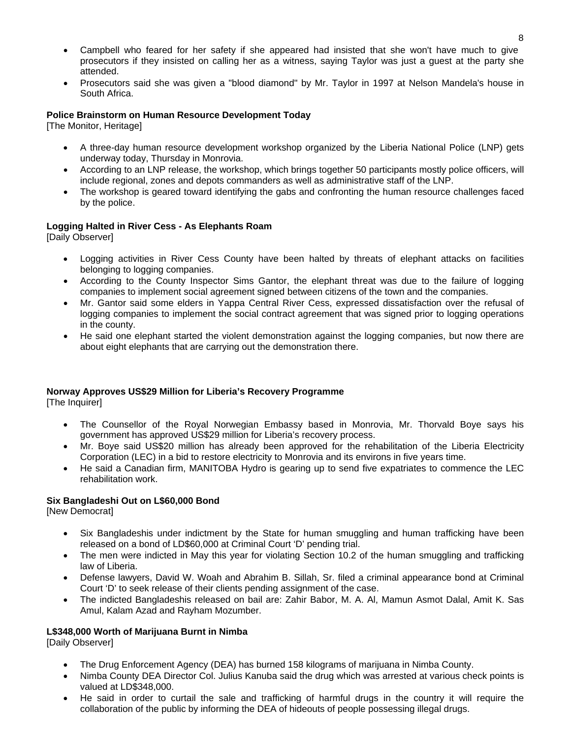- Campbell who feared for her safety if she appeared had insisted that she won't have much to give prosecutors if they insisted on calling her as a witness, saying Taylor was just a guest at the party she attended.
- Prosecutors said she was given a "blood diamond" by Mr. Taylor in 1997 at Nelson Mandela's house in South Africa.

#### **Police Brainstorm on Human Resource Development Today**

[The Monitor, Heritage]

- A three-day human resource development workshop organized by the Liberia National Police (LNP) gets underway today, Thursday in Monrovia.
- According to an LNP release, the workshop, which brings together 50 participants mostly police officers, will include regional, zones and depots commanders as well as administrative staff of the LNP.
- The workshop is geared toward identifying the gabs and confronting the human resource challenges faced by the police.

#### **Logging Halted in River Cess - As Elephants Roam**

[Daily Observer]

- Logging activities in River Cess County have been halted by threats of elephant attacks on facilities belonging to logging companies.
- According to the County Inspector Sims Gantor, the elephant threat was due to the failure of logging companies to implement social agreement signed between citizens of the town and the companies.
- Mr. Gantor said some elders in Yappa Central River Cess, expressed dissatisfaction over the refusal of logging companies to implement the social contract agreement that was signed prior to logging operations in the county.
- He said one elephant started the violent demonstration against the logging companies, but now there are about eight elephants that are carrying out the demonstration there.

#### **Norway Approves US\$29 Million for Liberia's Recovery Programme**

[The Inquirer]

- The Counsellor of the Royal Norwegian Embassy based in Monrovia, Mr. Thorvald Boye says his government has approved US\$29 million for Liberia's recovery process.
- Mr. Boye said US\$20 million has already been approved for the rehabilitation of the Liberia Electricity Corporation (LEC) in a bid to restore electricity to Monrovia and its environs in five years time.
- He said a Canadian firm, MANITOBA Hydro is gearing up to send five expatriates to commence the LEC rehabilitation work.

#### **Six Bangladeshi Out on L\$60,000 Bond**

[New Democrat]

- Six Bangladeshis under indictment by the State for human smuggling and human trafficking have been released on a bond of LD\$60,000 at Criminal Court 'D' pending trial.
- The men were indicted in May this year for violating Section 10.2 of the human smuggling and trafficking law of Liberia.
- Defense lawyers, David W. Woah and Abrahim B. Sillah, Sr. filed a criminal appearance bond at Criminal Court 'D' to seek release of their clients pending assignment of the case.
- The indicted Bangladeshis released on bail are: Zahir Babor, M. A. Al, Mamun Asmot Dalal, Amit K. Sas Amul, Kalam Azad and Rayham Mozumber.

#### **L\$348,000 Worth of Marijuana Burnt in Nimba**

[Daily Observer]

- The Drug Enforcement Agency (DEA) has burned 158 kilograms of marijuana in Nimba County.
- Nimba County DEA Director Col. Julius Kanuba said the drug which was arrested at various check points is valued at LD\$348,000.
- He said in order to curtail the sale and trafficking of harmful drugs in the country it will require the collaboration of the public by informing the DEA of hideouts of people possessing illegal drugs.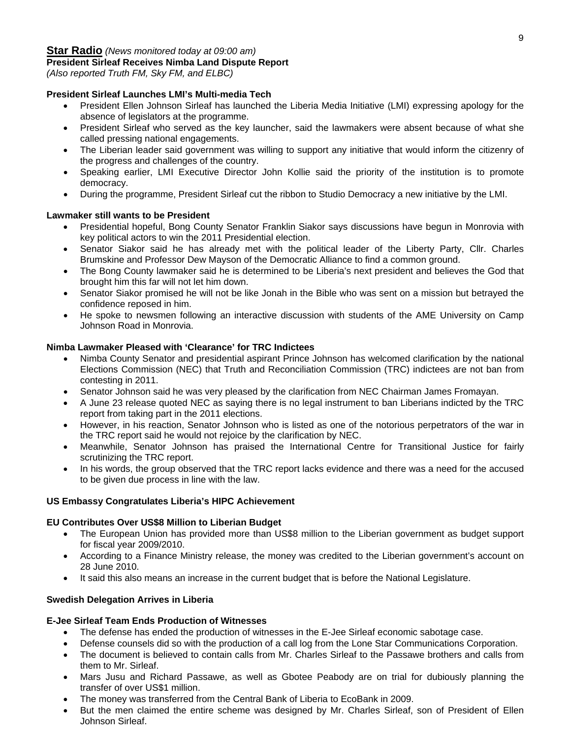# **Star Radio** *(News monitored today at 09:00 am)*

#### **President Sirleaf Receives Nimba Land Dispute Report**

*(Also reported Truth FM, Sky FM, and ELBC)* 

#### **President Sirleaf Launches LMI's Multi-media Tech**

- President Ellen Johnson Sirleaf has launched the Liberia Media Initiative (LMI) expressing apology for the absence of legislators at the programme.
- President Sirleaf who served as the key launcher, said the lawmakers were absent because of what she called pressing national engagements.
- The Liberian leader said government was willing to support any initiative that would inform the citizenry of the progress and challenges of the country.
- Speaking earlier, LMI Executive Director John Kollie said the priority of the institution is to promote democracy.
- During the programme, President Sirleaf cut the ribbon to Studio Democracy a new initiative by the LMI.

#### **Lawmaker still wants to be President**

- Presidential hopeful, Bong County Senator Franklin Siakor says discussions have begun in Monrovia with key political actors to win the 2011 Presidential election.
- Senator Siakor said he has already met with the political leader of the Liberty Party, Cllr. Charles Brumskine and Professor Dew Mayson of the Democratic Alliance to find a common ground.
- The Bong County lawmaker said he is determined to be Liberia's next president and believes the God that brought him this far will not let him down.
- Senator Siakor promised he will not be like Jonah in the Bible who was sent on a mission but betrayed the confidence reposed in him.
- He spoke to newsmen following an interactive discussion with students of the AME University on Camp Johnson Road in Monrovia.

#### **Nimba Lawmaker Pleased with 'Clearance' for TRC Indictees**

- Nimba County Senator and presidential aspirant Prince Johnson has welcomed clarification by the national Elections Commission (NEC) that Truth and Reconciliation Commission (TRC) indictees are not ban from contesting in 2011.
- Senator Johnson said he was very pleased by the clarification from NEC Chairman James Fromayan.
- A June 23 release quoted NEC as saying there is no legal instrument to ban Liberians indicted by the TRC report from taking part in the 2011 elections.
- However, in his reaction, Senator Johnson who is listed as one of the notorious perpetrators of the war in the TRC report said he would not rejoice by the clarification by NEC.
- Meanwhile, Senator Johnson has praised the International Centre for Transitional Justice for fairly scrutinizing the TRC report.
- In his words, the group observed that the TRC report lacks evidence and there was a need for the accused to be given due process in line with the law.

#### **US Embassy Congratulates Liberia's HIPC Achievement**

#### **EU Contributes Over US\$8 Million to Liberian Budget**

- The European Union has provided more than US\$8 million to the Liberian government as budget support for fiscal year 2009/2010.
- According to a Finance Ministry release, the money was credited to the Liberian government's account on 28 June 2010.
- It said this also means an increase in the current budget that is before the National Legislature.

#### **Swedish Delegation Arrives in Liberia**

#### **E-Jee Sirleaf Team Ends Production of Witnesses**

- The defense has ended the production of witnesses in the E-Jee Sirleaf economic sabotage case.
- Defense counsels did so with the production of a call log from the Lone Star Communications Corporation.
- The document is believed to contain calls from Mr. Charles Sirleaf to the Passawe brothers and calls from them to Mr. Sirleaf.
- Mars Jusu and Richard Passawe, as well as Gbotee Peabody are on trial for dubiously planning the transfer of over US\$1 million.
- The money was transferred from the Central Bank of Liberia to EcoBank in 2009.
- But the men claimed the entire scheme was designed by Mr. Charles Sirleaf, son of President of Ellen Johnson Sirleaf.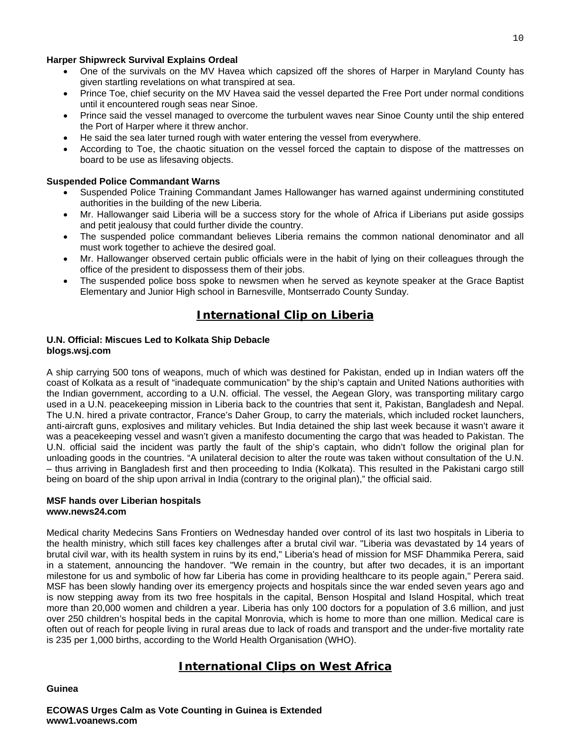#### **Harper Shipwreck Survival Explains Ordeal**

- One of the survivals on the MV Havea which capsized off the shores of Harper in Maryland County has given startling revelations on what transpired at sea.
- Prince Toe, chief security on the MV Havea said the vessel departed the Free Port under normal conditions until it encountered rough seas near Sinoe.
- Prince said the vessel managed to overcome the turbulent waves near Sinoe County until the ship entered the Port of Harper where it threw anchor.
- He said the sea later turned rough with water entering the vessel from everywhere.
- According to Toe, the chaotic situation on the vessel forced the captain to dispose of the mattresses on board to be use as lifesaving objects.

#### **Suspended Police Commandant Warns**

- Suspended Police Training Commandant James Hallowanger has warned against undermining constituted authorities in the building of the new Liberia.
- Mr. Hallowanger said Liberia will be a success story for the whole of Africa if Liberians put aside gossips and petit jealousy that could further divide the country.
- The suspended police commandant believes Liberia remains the common national denominator and all must work together to achieve the desired goal.
- Mr. Hallowanger observed certain public officials were in the habit of lying on their colleagues through the office of the president to dispossess them of their jobs.
- The suspended police boss spoke to newsmen when he served as keynote speaker at the Grace Baptist Elementary and Junior High school in Barnesville, Montserrado County Sunday.

# **International Clip on Liberia**

#### **U.N. Official: Miscues Led to Kolkata Ship Debacle blogs.wsj.com**

A ship carrying 500 tons of weapons, much of which was destined for Pakistan, ended up in Indian waters off the coast of Kolkata as a result of "inadequate communication" by the ship's captain and United Nations authorities with the Indian government, according to a U.N. official. The vessel, the Aegean Glory, was transporting military cargo used in a U.N. peacekeeping mission in Liberia back to the countries that sent it, Pakistan, Bangladesh and Nepal. The U.N. hired a private contractor, France's Daher Group, to carry the materials, which included rocket launchers, anti-aircraft guns, explosives and military vehicles. But India detained the ship last week because it wasn't aware it was a peacekeeping vessel and wasn't given a manifesto documenting the cargo that was headed to Pakistan. The U.N. official said the incident was partly the fault of the ship's captain, who didn't follow the original plan for unloading goods in the countries. "A unilateral decision to alter the route was taken without consultation of the U.N. – thus arriving in Bangladesh first and then proceeding to India (Kolkata). This resulted in the Pakistani cargo still being on board of the ship upon arrival in India (contrary to the original plan)," the official said.

#### **MSF hands over Liberian hospitals www.news24.com**

Medical charity Medecins Sans Frontiers on Wednesday handed over control of its last two hospitals in Liberia to the health ministry, which still faces key challenges after a brutal civil war. "Liberia was devastated by 14 years of brutal civil war, with its health system in ruins by its end," Liberia's head of mission for MSF Dhammika Perera, said in a statement, announcing the handover. "We remain in the country, but after two decades, it is an important milestone for us and symbolic of how far Liberia has come in providing healthcare to its people again," Perera said. MSF has been slowly handing over its emergency projects and hospitals since the war ended seven years ago and is now stepping away from its two free hospitals in the capital, Benson Hospital and Island Hospital, which treat more than 20,000 women and children a year. Liberia has only 100 doctors for a population of 3.6 million, and just over 250 children's hospital beds in the capital Monrovia, which is home to more than one million. Medical care is often out of reach for people living in rural areas due to lack of roads and transport and the under-five mortality rate is 235 per 1,000 births, according to the World Health Organisation (WHO).

# **International Clips on West Africa**

#### **Guinea**

**ECOWAS Urges Calm as Vote Counting in Guinea is Extended www1.voanews.com**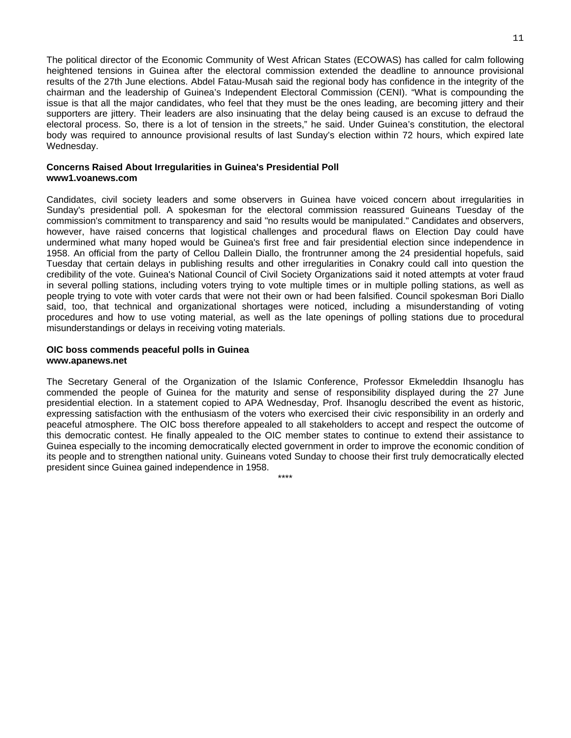The political director of the Economic Community of West African States (ECOWAS) has called for calm following heightened tensions in Guinea after the electoral commission extended the deadline to announce provisional results of the 27th June elections. Abdel Fatau-Musah said the regional body has confidence in the integrity of the chairman and the leadership of Guinea's Independent Electoral Commission (CENI). "What is compounding the issue is that all the major candidates, who feel that they must be the ones leading, are becoming jittery and their supporters are jittery. Their leaders are also insinuating that the delay being caused is an excuse to defraud the electoral process. So, there is a lot of tension in the streets," he said. Under Guinea's constitution, the electoral body was required to announce provisional results of last Sunday's election within 72 hours, which expired late Wednesday.

#### **Concerns Raised About Irregularities in Guinea's Presidential Poll www1.voanews.com**

Candidates, civil society leaders and some observers in Guinea have voiced concern about irregularities in Sunday's presidential poll. A spokesman for the electoral commission reassured Guineans Tuesday of the commission's commitment to transparency and said "no results would be manipulated." Candidates and observers, however, have raised concerns that logistical challenges and procedural flaws on Election Day could have undermined what many hoped would be Guinea's first free and fair presidential election since independence in 1958. An official from the party of Cellou Dallein Diallo, the frontrunner among the 24 presidential hopefuls, said Tuesday that certain delays in publishing results and other irregularities in Conakry could call into question the credibility of the vote. Guinea's National Council of Civil Society Organizations said it noted attempts at voter fraud in several polling stations, including voters trying to vote multiple times or in multiple polling stations, as well as people trying to vote with voter cards that were not their own or had been falsified. Council spokesman Bori Diallo said, too, that technical and organizational shortages were noticed, including a misunderstanding of voting procedures and how to use voting material, as well as the late openings of polling stations due to procedural misunderstandings or delays in receiving voting materials.

#### **OIC boss commends peaceful polls in Guinea www.apanews.net**

The Secretary General of the Organization of the Islamic Conference, Professor Ekmeleddin Ihsanoglu has commended the people of Guinea for the maturity and sense of responsibility displayed during the 27 June presidential election. In a statement copied to APA Wednesday, Prof. Ihsanoglu described the event as historic, expressing satisfaction with the enthusiasm of the voters who exercised their civic responsibility in an orderly and peaceful atmosphere. The OIC boss therefore appealed to all stakeholders to accept and respect the outcome of this democratic contest. He finally appealed to the OIC member states to continue to extend their assistance to Guinea especially to the incoming democratically elected government in order to improve the economic condition of its people and to strengthen national unity. Guineans voted Sunday to choose their first truly democratically elected president since Guinea gained independence in 1958.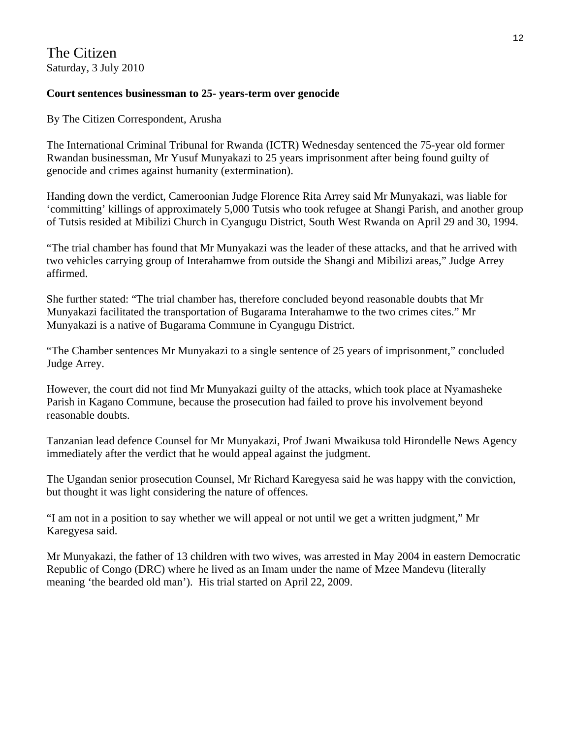The Citizen Saturday, 3 July 2010

# **Court sentences businessman to 25- years-term over genocide**

By The Citizen Correspondent, Arusha

The International Criminal Tribunal for Rwanda (ICTR) Wednesday sentenced the 75-year old former Rwandan businessman, Mr Yusuf Munyakazi to 25 years imprisonment after being found guilty of genocide and crimes against humanity (extermination).

Handing down the verdict, Cameroonian Judge Florence Rita Arrey said Mr Munyakazi, was liable for 'committing' killings of approximately 5,000 Tutsis who took refugee at Shangi Parish, and another group of Tutsis resided at Mibilizi Church in Cyangugu District, South West Rwanda on April 29 and 30, 1994.

"The trial chamber has found that Mr Munyakazi was the leader of these attacks, and that he arrived with two vehicles carrying group of Interahamwe from outside the Shangi and Mibilizi areas," Judge Arrey affirmed.

She further stated: "The trial chamber has, therefore concluded beyond reasonable doubts that Mr Munyakazi facilitated the transportation of Bugarama Interahamwe to the two crimes cites." Mr Munyakazi is a native of Bugarama Commune in Cyangugu District.

"The Chamber sentences Mr Munyakazi to a single sentence of 25 years of imprisonment," concluded Judge Arrey.

However, the court did not find Mr Munyakazi guilty of the attacks, which took place at Nyamasheke Parish in Kagano Commune, because the prosecution had failed to prove his involvement beyond reasonable doubts.

Tanzanian lead defence Counsel for Mr Munyakazi, Prof Jwani Mwaikusa told Hirondelle News Agency immediately after the verdict that he would appeal against the judgment.

The Ugandan senior prosecution Counsel, Mr Richard Karegyesa said he was happy with the conviction, but thought it was light considering the nature of offences.

"I am not in a position to say whether we will appeal or not until we get a written judgment," Mr Karegyesa said.

Mr Munyakazi, the father of 13 children with two wives, was arrested in May 2004 in eastern Democratic Republic of Congo (DRC) where he lived as an Imam under the name of Mzee Mandevu (literally meaning 'the bearded old man'). His trial started on April 22, 2009.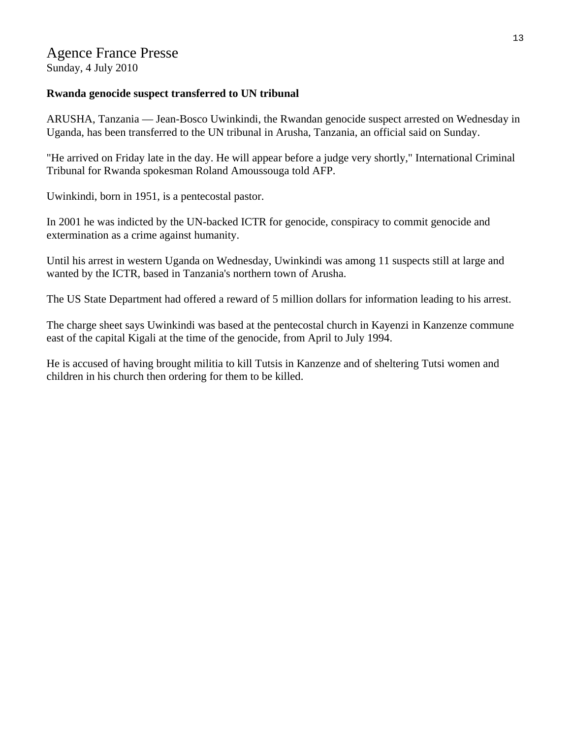# Agence France Presse

Sunday, 4 July 2010

# **Rwanda genocide suspect transferred to UN tribunal**

ARUSHA, Tanzania — Jean-Bosco Uwinkindi, the Rwandan genocide suspect arrested on Wednesday in Uganda, has been transferred to the UN tribunal in Arusha, Tanzania, an official said on Sunday.

"He arrived on Friday late in the day. He will appear before a judge very shortly," International Criminal Tribunal for Rwanda spokesman Roland Amoussouga told AFP.

Uwinkindi, born in 1951, is a pentecostal pastor.

In 2001 he was indicted by the UN-backed ICTR for genocide, conspiracy to commit genocide and extermination as a crime against humanity.

Until his arrest in western Uganda on Wednesday, Uwinkindi was among 11 suspects still at large and wanted by the ICTR, based in Tanzania's northern town of Arusha.

The US State Department had offered a reward of 5 million dollars for information leading to his arrest.

The charge sheet says Uwinkindi was based at the pentecostal church in Kayenzi in Kanzenze commune east of the capital Kigali at the time of the genocide, from April to July 1994.

He is accused of having brought militia to kill Tutsis in Kanzenze and of sheltering Tutsi women and children in his church then ordering for them to be killed.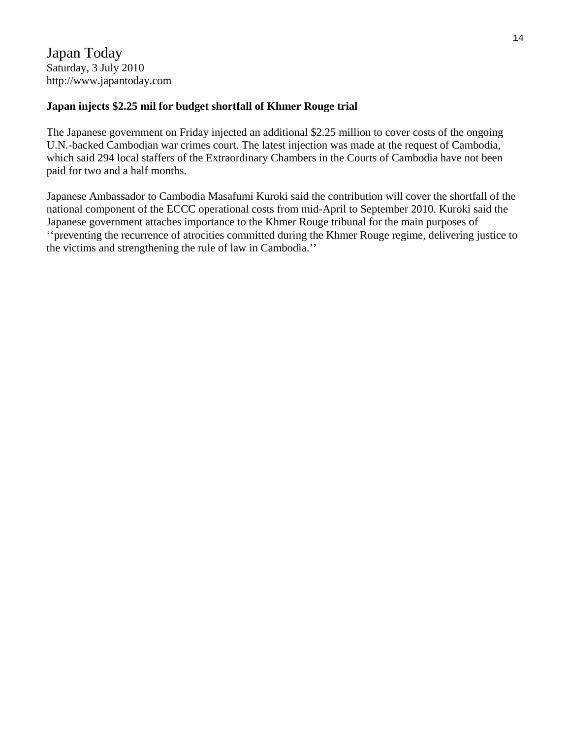# **Japan injects \$2.25 mil for budget shortfall of Khmer Rouge trial**

The Japanese government on Friday injected an additional \$2.25 million to cover costs of the ongoing U.N.-backed Cambodian war crimes court. The latest injection was made at the request of Cambodia, which said 294 local staffers of the Extraordinary Chambers in the Courts of Cambodia have not been paid for two and a half months.

Japanese Ambassador to Cambodia Masafumi Kuroki said the contribution will cover the shortfall of the national component of the ECCC operational costs from mid-April to September 2010. Kuroki said the Japanese government attaches importance to the Khmer Rouge tribunal for the main purposes of ''preventing the recurrence of atrocities committed during the Khmer Rouge regime, delivering justice to the victims and strengthening the rule of law in Cambodia.''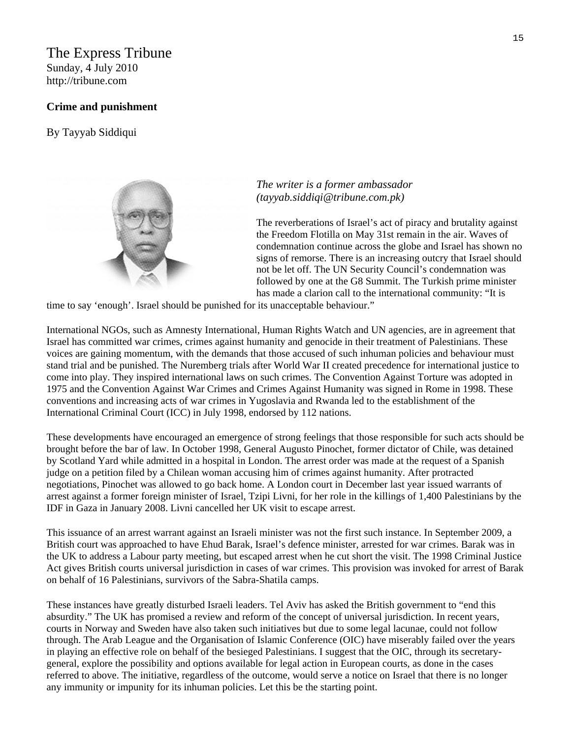# The Express Tribune Sunday, 4 July 2010

[http://tribune.com](http://tribune.com/) 

## **Crime and punishment**

By [Tayyab Siddiqui](http://tribune.com.pk/author/936/tayyab-siddiqui/) 



# *The writer is a former ambassador (tayyab.siddiqi@tribune.com.pk)*

The reverberations of Israel's act of piracy and brutality against the Freedom Flotilla on May 31st remain in the air. Waves of condemnation continue across the globe and Israel has shown no signs of remorse. There is an increasing outcry that Israel should not be let off. The UN Security Council's condemnation was followed by one at the G8 Summit. The Turkish prime minister has made a clarion call to the international community: "It is

time to say 'enough'. Israel should be punished for its unacceptable behaviour."

International NGOs, such as Amnesty International, Human Rights Watch and UN agencies, are in agreement that Israel has committed war crimes, crimes against humanity and genocide in their treatment of Palestinians. These voices are gaining momentum, with the demands that those accused of such inhuman policies and behaviour must stand trial and be punished. The Nuremberg trials after World War II created precedence for international justice to come into play. They inspired international laws on such crimes. The Convention Against Torture was adopted in 1975 and the Convention Against War Crimes and Crimes Against Humanity was signed in Rome in 1998. These conventions and increasing acts of war crimes in Yugoslavia and Rwanda led to the establishment of the International Criminal Court (ICC) in July 1998, endorsed by 112 nations.

These developments have encouraged an emergence of strong feelings that those responsible for such acts should be brought before the bar of law. In October 1998, General Augusto Pinochet, former dictator of Chile, was detained by Scotland Yard while admitted in a hospital in London. The arrest order was made at the request of a Spanish judge on a petition filed by a Chilean woman accusing him of crimes against humanity. After protracted negotiations, Pinochet was allowed to go back home. A London court in December last year issued warrants of arrest against a former foreign minister of Israel, Tzipi Livni, for her role in the killings of 1,400 Palestinians by the IDF in Gaza in January 2008. Livni cancelled her UK visit to escape arrest.

This issuance of an arrest warrant against an Israeli minister was not the first such instance. In September 2009, a British court was approached to have Ehud Barak, Israel's defence minister, arrested for war crimes. Barak was in the UK to address a Labour party meeting, but escaped arrest when he cut short the visit. The 1998 Criminal Justice Act gives British courts universal jurisdiction in cases of war crimes. This provision was invoked for arrest of Barak on behalf of 16 Palestinians, survivors of the Sabra-Shatila camps.

These instances have greatly disturbed Israeli leaders. Tel Aviv has asked the British government to "end this absurdity." The UK has promised a review and reform of the concept of universal jurisdiction. In recent years, courts in Norway and Sweden have also taken such initiatives but due to some legal lacunae, could not follow through. The Arab League and the Organisation of Islamic Conference (OIC) have miserably failed over the years in playing an effective role on behalf of the besieged Palestinians. I suggest that the OIC, through its secretarygeneral, explore the possibility and options available for legal action in European courts, as done in the cases referred to above. The initiative, regardless of the outcome, would serve a notice on Israel that there is no longer any immunity or impunity for its inhuman policies. Let this be the starting point.